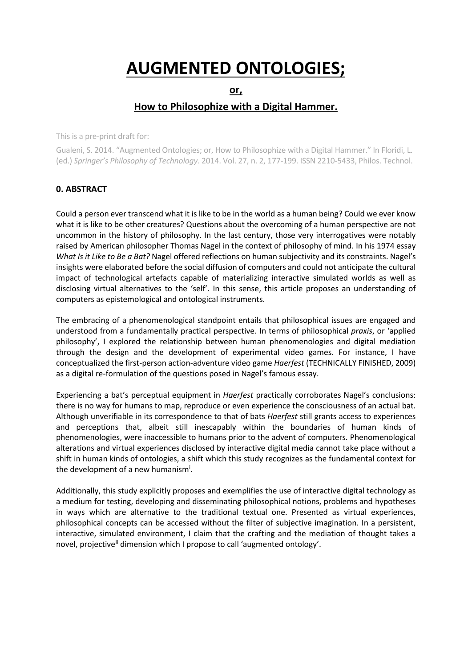# **AUGMENTED ONTOLOGIES;**

**or,**

# **How to Philosophize with a Digital Hammer.**

This is a pre-print draft for:

Gualeni, S. 2014. "Augmented Ontologies; or, How to Philosophize with a Digital Hammer." In Floridi, L. (ed.) *Springer's Philosophy of Technology*. 2014. Vol. 27, n. 2, 177-199. ISSN 2210-5433, Philos. Technol.

# **0. ABSTRACT**

Could a person ever transcend what it is like to be in the world as a human being? Could we ever know what it is like to be other creatures? Questions about the overcoming of a human perspective are not uncommon in the history of philosophy. In the last century, those very interrogatives were notably raised by American philosopher Thomas Nagel in the context of philosophy of mind. In his 1974 essay *What Is it Like to Be a Bat?* Nagel offered reflections on human subjectivity and its constraints. Nagel's insights were elaborated before the social diffusion of computers and could not anticipate the cultural impact of technological artefacts capable of materializing interactive simulated worlds as well as disclosing virtual alternatives to the 'self'. In this sense, this article proposes an understanding of computers as epistemological and ontological instruments.

The embracing of a phenomenological standpoint entails that philosophical issues are engaged and understood from a fundamentally practical perspective. In terms of philosophical *praxis*, or 'applied philosophy', I explored the relationship between human phenomenologies and digital mediation through the design and the development of experimental video games. For instance, I have conceptualized the first-person action-adventure video game *Haerfest* (TECHNICALLY FINISHED, 2009) as a digital re-formulation of the questions posed in Nagel's famous essay.

Experiencing a bat's perceptual equipment in *Haerfest* practically corroborates Nagel's conclusions: there is no way for humans to map, reproduce or even experience the consciousness of an actual bat. Although unverifiable in its correspondence to that of bats *Haerfest* still grants access to experiences and perceptions that, albeit still inescapably within the boundaries of human kinds of phenomenologies, were inaccessible to humans prior to the advent of computers. Phenomenological alterations and virtual experiences disclosed by interactive digital media cannot take place without a shift in human kinds of ontologies, a shift which this study recognizes as the fundamental context for the development of a new human[i](#page-2-0)sm<sup>i</sup>.

Additionally, this study explicitly proposes and exemplifies the use of interactive digital technology as a medium for testing, developing and disseminating philosophical notions, problems and hypotheses in ways which are alternative to the traditional textual one. Presented as virtual experiences, philosophical concepts can be accessed without the filter of subjective imagination. In a persistent, interactive, simulated environment, I claim that the crafting and the mediation of thought takes a novel, projective<sup>[ii](#page-2-1)</sup> dimension which I propose to call 'augmented ontology'.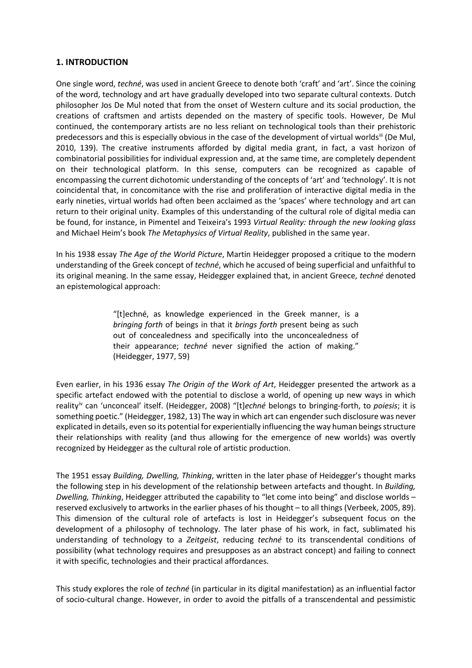## **1. INTRODUCTION**

One single word, *techné*, was used in ancient Greece to denote both 'craft' and 'art'. Since the coining of the word, technology and art have gradually developed into two separate cultural contexts. Dutch philosopher Jos De Mul noted that from the onset of Western culture and its social production, the creations of craftsmen and artists depended on the mastery of specific tools. However, De Mul continued, the contemporary artists are no less reliant on technological tools than their prehistoric predecessors and this is especially obvious in the case of the development of virtual worlds<sup>iii</sup> (De Mul, 2010, 139). The creative instruments afforded by digital media grant, in fact, a vast horizon of combinatorial possibilities for individual expression and, at the same time, are completely dependent on their technological platform. In this sense, computers can be recognized as capable of encompassing the current dichotomic understanding of the concepts of 'art' and 'technology'. It is not coincidental that, in concomitance with the rise and proliferation of interactive digital media in the early nineties, virtual worlds had often been acclaimed as the 'spaces' where technology and art can return to their original unity. Examples of this understanding of the cultural role of digital media can be found, for instance, in Pimentel and Teixeira's 1993 *Virtual Reality: through the new looking glass* and Michael Heim's book *The Metaphysics of Virtual Reality*, published in the same year.

In his 1938 essay *The Age of the World Picture*, Martin Heidegger proposed a critique to the modern understanding of the Greek concept of *techné*, which he accused of being superficial and unfaithful to its original meaning. In the same essay, Heidegger explained that, in ancient Greece, *techné* denoted an epistemological approach:

> "[t]echné, as knowledge experienced in the Greek manner, is a *bringing forth* of beings in that it *brings forth* present being as such out of concealedness and specifically into the unconcealedness of their appearance; *techné* never signified the action of making." (Heidegger, 1977, 59)

Even earlier, in his 1936 essay *The Origin of the Work of Art*, Heidegger presented the artwork as a specific artefact endowed with the potential to disclose a world, of opening up new ways in which reality[iv](#page-2-3) can 'unconceal' itself. (Heidegger, 2008) "[t]*echné* belongs to bringing-forth, to *poiesis*; it is something poetic." (Heidegger, 1982, 13) The way in which art can engender such disclosure was never explicated in details, even so its potential for experientially influencing the way human beings structure their relationships with reality (and thus allowing for the emergence of new worlds) was overtly recognized by Heidegger as the cultural role of artistic production.

The 1951 essay *Building, Dwelling, Thinking*, written in the later phase of Heidegger's thought marks the following step in his development of the relationship between artefacts and thought. In *Building, Dwelling, Thinking*, Heidegger attributed the capability to "let come into being" and disclose worlds – reserved exclusively to artworks in the earlier phases of his thought – to all things (Verbeek, 2005, 89). This dimension of the cultural role of artefacts is lost in Heidegger's subsequent focus on the development of a philosophy of technology. The later phase of his work, in fact, sublimated his understanding of technology to a *Zeitgeist*, reducing *techné* to its transcendental conditions of possibility (what technology requires and presupposes as an abstract concept) and failing to connect it with specific, technologies and their practical affordances.

This study explores the role of *techné* (in particular in its digital manifestation) as an influential factor of socio-cultural change. However, in order to avoid the pitfalls of a transcendental and pessimistic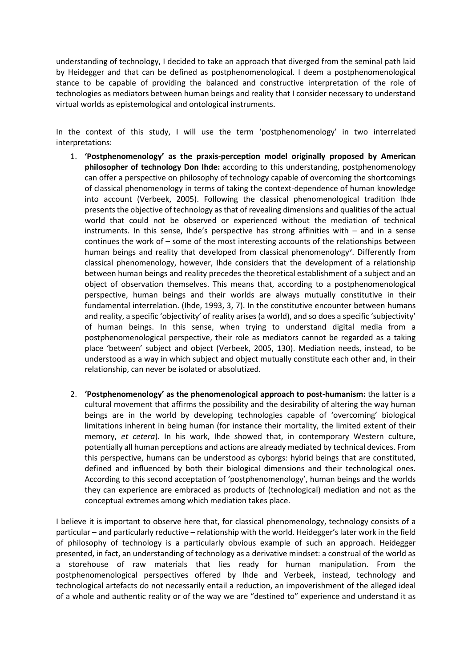understanding of technology, I decided to take an approach that diverged from the seminal path laid by Heidegger and that can be defined as postphenomenological. I deem a postphenomenological stance to be capable of providing the balanced and constructive interpretation of the role of technologies as mediators between human beings and reality that I consider necessary to understand virtual worlds as epistemological and ontological instruments.

In the context of this study, I will use the term 'postphenomenology' in two interrelated interpretations:

- <span id="page-2-0"></span>1. **'Postphenomenology' as the praxis-perception model originally proposed by American philosopher of technology Don Ihde:** according to this understanding, postphenomenology can offer a perspective on philosophy of technology capable of overcoming the shortcomings of classical phenomenology in terms of taking the context-dependence of human knowledge into account (Verbeek, 2005). Following the classical phenomenological tradition Ihde presents the objective of technology as that of revealing dimensions and qualities of the actual world that could not be observed or experienced without the mediation of technical instruments. In this sense, Ihde's perspective has strong affinities with – and in a sense continues the work of – some of the most interesting accounts of the relationships between human beings and reality that de[v](#page-3-0)eloped from classical phenomenology<sup>v</sup>. Differently from classical phenomenology, however, Ihde considers that the development of a relationship between human beings and reality precedes the theoretical establishment of a subject and an object of observation themselves. This means that, according to a postphenomenological perspective, human beings and their worlds are always mutually constitutive in their fundamental interrelation. (Ihde, 1993, 3, 7). In the constitutive encounter between humans and reality, a specific 'objectivity' of reality arises (a world), and so does a specific 'subjectivity' of human beings. In this sense, when trying to understand digital media from a postphenomenological perspective, their role as mediators cannot be regarded as a taking place 'between' subject and object (Verbeek, 2005, 130). Mediation needs, instead, to be understood as a way in which subject and object mutually constitute each other and, in their relationship, can never be isolated or absolutized.
- <span id="page-2-1"></span>2. **'Postphenomenology' as the phenomenological approach to post-humanism:** the latter is a cultural movement that affirms the possibility and the desirability of altering the way human beings are in the world by developing technologies capable of 'overcoming' biological limitations inherent in being human (for instance their mortality, the limited extent of their memory, *et cetera*). In his work, Ihde showed that, in contemporary Western culture, potentially all human perceptions and actions are already mediated by technical devices. From this perspective, humans can be understood as cyborgs: hybrid beings that are constituted, defined and influenced by both their biological dimensions and their technological ones. According to this second acceptation of 'postphenomenology', human beings and the worlds they can experience are embraced as products of (technological) mediation and not as the conceptual extremes among which mediation takes place.

<span id="page-2-3"></span><span id="page-2-2"></span>I believe it is important to observe here that, for classical phenomenology, technology consists of a particular – and particularly reductive – relationship with the world. Heidegger's later work in the field of philosophy of technology is a particularly obvious example of such an approach. Heidegger presented, in fact, an understanding of technology as a derivative mindset: a construal of the world as a storehouse of raw materials that lies ready for human manipulation. From the postphenomenological perspectives offered by Ihde and Verbeek, instead, technology and technological artefacts do not necessarily entail a reduction, an impoverishment of the alleged ideal of a whole and authentic reality or of the way we are "destined to" experience and understand it as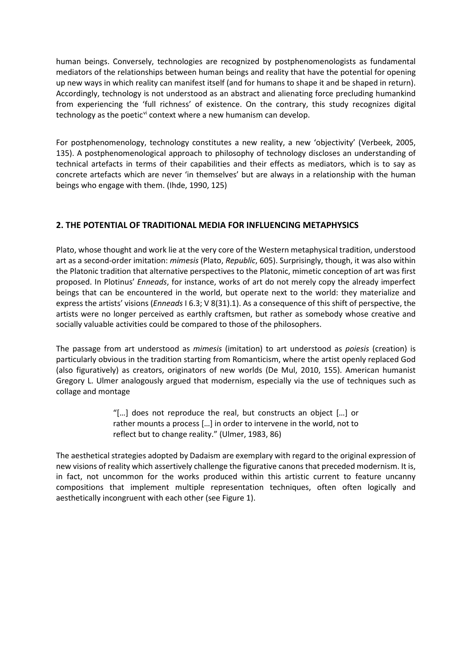human beings. Conversely, technologies are recognized by postphenomenologists as fundamental mediators of the relationships between human beings and reality that have the potential for opening up new ways in which reality can manifest itself (and for humans to shape it and be shaped in return). Accordingly, technology is not understood as an abstract and alienating force precluding humankind from experiencing the 'full richness' of existence. On the contrary, this study recognizes digital technology as the poetic<sup>[vi](#page-3-1)</sup> context where a new humanism can develop.

<span id="page-3-1"></span><span id="page-3-0"></span>For postphenomenology, technology constitutes a new reality, a new 'objectivity' (Verbeek, 2005, 135). A postphenomenological approach to philosophy of technology discloses an understanding of technical artefacts in terms of their capabilities and their effects as mediators, which is to say as concrete artefacts which are never 'in themselves' but are always in a relationship with the human beings who engage with them. (Ihde, 1990, 125)

# **2. THE POTENTIAL OF TRADITIONAL MEDIA FOR INFLUENCING METAPHYSICS**

Plato, whose thought and work lie at the very core of the Western metaphysical tradition, understood art as a second-order imitation: *mimesis* (Plato, *Republic*, 605). Surprisingly, though, it was also within the Platonic tradition that alternative perspectives to the Platonic, mimetic conception of art was first proposed. In Plotinus' *Enneads*, for instance, works of art do not merely copy the already imperfect beings that can be encountered in the world, but operate next to the world: they materialize and express the artists' visions (*Enneads* I 6.3; V 8(31).1). As a consequence of this shift of perspective, the artists were no longer perceived as earthly craftsmen, but rather as somebody whose creative and socially valuable activities could be compared to those of the philosophers.

<span id="page-3-2"></span>The passage from art understood as *mimesis* (imitation) to art understood as *poiesis* (creation) is particularly obvious in the tradition starting from Romanticism, where the artist openly replaced God (also figuratively) as creators, originators of new worlds (De Mul, 2010, 155). American humanist Gregory L. Ulmer analogously argued that modernism, especially via the use of techniques such as collage and montage

> "[…] does not reproduce the real, but constructs an object […] or rather mounts a process […] in order to intervene in the world, not to reflect but to change reality." (Ulmer, 1983, 86)

<span id="page-3-5"></span><span id="page-3-4"></span><span id="page-3-3"></span>The aesthetical strategies adopted by Dadaism are exemplary with regard to the original expression of new visions of reality which assertively challenge the figurative canons that preceded modernism. It is, in fact, not uncommon for the works produced within this artistic current to feature uncanny compositions that implement multiple representation techniques, often often logically and aesthetically incongruent with each other (see Figure 1).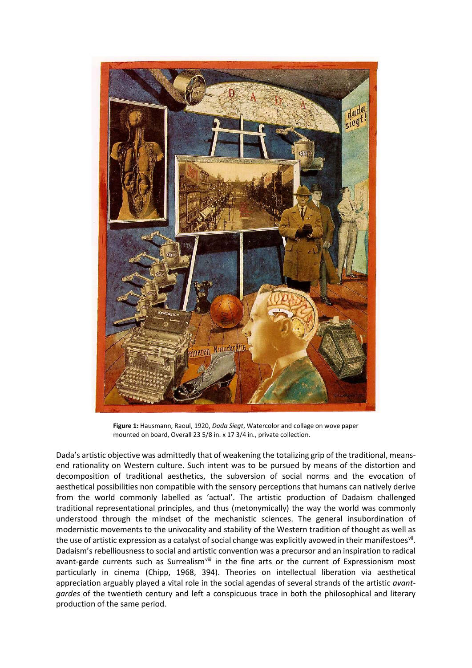<span id="page-4-2"></span><span id="page-4-1"></span><span id="page-4-0"></span>

**Figure 1:** Hausmann, Raoul, 1920, *Dada Siegt*, Watercolor and collage on wove paper mounted on board, Overall 23 5/8 in. x 17 3/4 in., private collection.

<span id="page-4-6"></span><span id="page-4-5"></span><span id="page-4-4"></span><span id="page-4-3"></span>Dada's artistic objective was admittedly that of weakening the totalizing grip of the traditional, meansend rationality on Western culture. Such intent was to be pursued by means of the distortion and decomposition of traditional aesthetics, the subversion of social norms and the evocation of aesthetical possibilities non compatible with the sensory perceptions that humans can natively derive from the world commonly labelled as 'actual'. The artistic production of Dadaism challenged traditional representational principles, and thus (metonymically) the way the world was commonly understood through the mindset of the mechanistic sciences. The general insubordination of modernistic movements to the univocality and stability of the Western tradition of thought as well as the use of artistic expression as a catalyst of social change was explicitly avowed in their manifestoes<sup>vii</sup>. Dadaism's rebelliousness to social and artistic convention was a precursor and an inspiration to radical avant-garde currents such as Surrealism<sup>[viii](#page-3-3)</sup> in the fine arts or the current of Expressionism most particularly in cinema (Chipp, 1968, 394). Theories on intellectual liberation via aesthetical appreciation arguably played a vital role in the social agendas of several strands of the artistic *avantgardes* of the twentieth century and left a conspicuous trace in both the philosophical and literary production of the same period.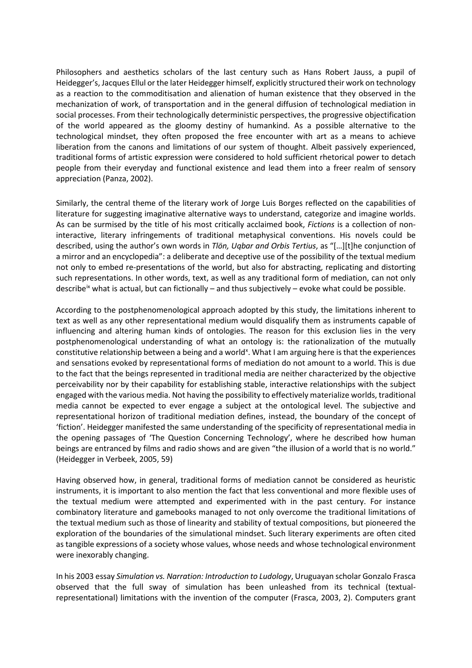Philosophers and aesthetics scholars of the last century such as Hans Robert Jauss, a pupil of Heidegger's, Jacques Ellul or the later Heidegger himself, explicitly structured their work on technology as a reaction to the commoditisation and alienation of human existence that they observed in the mechanization of work, of transportation and in the general diffusion of technological mediation in social processes. From their technologically deterministic perspectives, the progressive objectification of the world appeared as the gloomy destiny of humankind. As a possible alternative to the technological mindset, they often proposed the free encounter with art as a means to achieve liberation from the canons and limitations of our system of thought. Albeit passively experienced, traditional forms of artistic expression were considered to hold sufficient rhetorical power to detach people from their everyday and functional existence and lead them into a freer realm of sensory appreciation (Panza, 2002).

Similarly, the central theme of the literary work of Jorge Luis Borges reflected on the capabilities of literature for suggesting imaginative alternative ways to understand, categorize and imagine worlds. As can be surmised by the title of his most critically acclaimed book, *Fictions* is a collection of noninteractive, literary infringements of traditional metaphysical conventions. His novels could be described, using the author's own words in *Tlön, Uqbar and Orbis Tertius*, as "[…][t]he conjunction of a mirror and an encyclopedia": a deliberate and deceptive use of the possibility of the textual medium not only to embed re-presentations of the world, but also for abstracting, replicating and distorting such representations. In other words, text, as well as any traditional form of mediation, can not only describe<sup>[ix](#page-3-4)</sup> what is actual, but can fictionally – and thus subjectively – evoke what could be possible.

According to the postphenomenological approach adopted by this study, the limitations inherent to text as well as any other representational medium would disqualify them as instruments capable of influencing and altering human kinds of ontologies. The reason for this exclusion lies in the very postphenomenological understanding of what an ontology is: the rationalization of the mutually constitutive relationship between a being and a world<sup>[x](#page-3-5)</sup>. What I am arguing here is that the experiences and sensations evoked by representational forms of mediation do not amount to a world. This is due to the fact that the beings represented in traditional media are neither characterized by the objective perceivability nor by their capability for establishing stable, interactive relationships with the subject engaged with the various media. Not having the possibility to effectively materialize worlds, traditional media cannot be expected to ever engage a subject at the ontological level. The subjective and representational horizon of traditional mediation defines, instead, the boundary of the concept of 'fiction'. Heidegger manifested the same understanding of the specificity of representational media in the opening passages of 'The Question Concerning Technology', where he described how human beings are entranced by films and radio shows and are given "the illusion of a world that is no world." (Heidegger in Verbeek, 2005, 59)

Having observed how, in general, traditional forms of mediation cannot be considered as heuristic instruments, it is important to also mention the fact that less conventional and more flexible uses of the textual medium were attempted and experimented with in the past century. For instance combinatory literature and gamebooks managed to not only overcome the traditional limitations of the textual medium such as those of linearity and stability of textual compositions, but pioneered the exploration of the boundaries of the simulational mindset. Such literary experiments are often cited as tangible expressions of a society whose values, whose needs and whose technological environment were inexorably changing.

In his 2003 essay *Simulation vs. Narration: Introduction to Ludology*, Uruguayan scholar Gonzalo Frasca observed that the full sway of simulation has been unleashed from its technical (textualrepresentational) limitations with the invention of the computer (Frasca, 2003, 2). Computers grant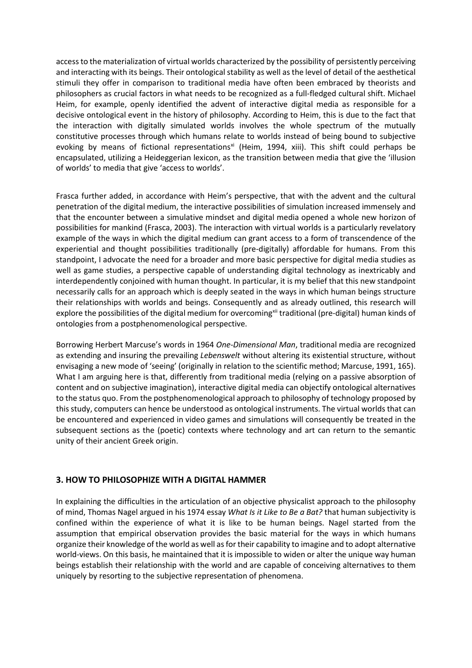access to the materialization of virtual worlds characterized by the possibility of persistently perceiving and interacting with its beings. Their ontological stability as well as the level of detail of the aesthetical stimuli they offer in comparison to traditional media have often been embraced by theorists and philosophers as crucial factors in what needs to be recognized as a full-fledged cultural shift. Michael Heim, for example, openly identified the advent of interactive digital media as responsible for a decisive ontological event in the history of philosophy. According to Heim, this is due to the fact that the interaction with digitally simulated worlds involves the whole spectrum of the mutually constitutive processes through which humans relate to worlds instead of being bound to subjective evoking by means of fictional representations<sup>[xi](#page-4-0)</sup> (Heim, 1994, xiii). This shift could perhaps be encapsulated, utilizing a Heideggerian lexicon, as the transition between media that give the 'illusion of worlds' to media that give 'access to worlds'.

Frasca further added, in accordance with Heim's perspective, that with the advent and the cultural penetration of the digital medium, the interactive possibilities of simulation increased immensely and that the encounter between a simulative mindset and digital media opened a whole new horizon of possibilities for mankind (Frasca, 2003). The interaction with virtual worlds is a particularly revelatory example of the ways in which the digital medium can grant access to a form of transcendence of the experiential and thought possibilities traditionally (pre-digitally) affordable for humans. From this standpoint, I advocate the need for a broader and more basic perspective for digital media studies as well as game studies, a perspective capable of understanding digital technology as inextricably and interdependently conjoined with human thought. In particular, it is my belief that this new standpoint necessarily calls for an approach which is deeply seated in the ways in which human beings structure their relationships with worlds and beings. Consequently and as already outlined, this research will explore the possibilities of the digital medium for overcoming<sup>[xii](#page-4-1)</sup> traditional (pre-digital) human kinds of ontologies from a postphenomenological perspective.

Borrowing Herbert Marcuse's words in 1964 *One-Dimensional Man*, traditional media are recognized as extending and insuring the prevailing *Lebenswelt* without altering its existential structure, without envisaging a new mode of 'seeing' (originally in relation to the scientific method; Marcuse, 1991, 165). What I am arguing here is that, differently from traditional media (relying on a passive absorption of content and on subjective imagination), interactive digital media can objectify ontological alternatives to the status quo. From the postphenomenological approach to philosophy of technology proposed by this study, computers can hence be understood as ontological instruments. The virtual worlds that can be encountered and experienced in video games and simulations will consequently be treated in the subsequent sections as the (poetic) contexts where technology and art can return to the semantic unity of their ancient Greek origin.

## **3. HOW TO PHILOSOPHIZE WITH A DIGITAL HAMMER**

In explaining the difficulties in the articulation of an objective physicalist approach to the philosophy of mind, Thomas Nagel argued in his 1974 essay *What Is it Like to Be a Bat?* that human subjectivity is confined within the experience of what it is like to be human beings. Nagel started from the assumption that empirical observation provides the basic material for the ways in which humans organize their knowledge of the world as well as for their capability to imagine and to adopt alternative world-views. On this basis, he maintained that it is impossible to widen or alter the unique way human beings establish their relationship with the world and are capable of conceiving alternatives to them uniquely by resorting to the subjective representation of phenomena.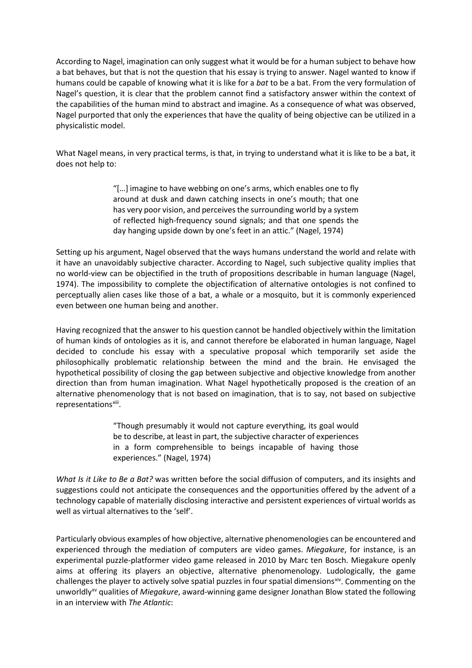According to Nagel, imagination can only suggest what it would be for a human subject to behave how a bat behaves, but that is not the question that his essay is trying to answer. Nagel wanted to know if humans could be capable of knowing what it is like for a *bat* to be a bat. From the very formulation of Nagel's question, it is clear that the problem cannot find a satisfactory answer within the context of the capabilities of the human mind to abstract and imagine. As a consequence of what was observed, Nagel purported that only the experiences that have the quality of being objective can be utilized in a physicalistic model.

What Nagel means, in very practical terms, is that, in trying to understand what it is like to be a bat, it does not help to:

> "[…] imagine to have webbing on one's arms, which enables one to fly around at dusk and dawn catching insects in one's mouth; that one has very poor vision, and perceives the surrounding world by a system of reflected high-frequency sound signals; and that one spends the day hanging upside down by one's feet in an attic." (Nagel, 1974)

Setting up his argument, Nagel observed that the ways humans understand the world and relate with it have an unavoidably subjective character. According to Nagel, such subjective quality implies that no world-view can be objectified in the truth of propositions describable in human language (Nagel, 1974). The impossibility to complete the objectification of alternative ontologies is not confined to perceptually alien cases like those of a bat, a whale or a mosquito, but it is commonly experienced even between one human being and another.

Having recognized that the answer to his question cannot be handled objectively within the limitation of human kinds of ontologies as it is, and cannot therefore be elaborated in human language, Nagel decided to conclude his essay with a speculative proposal which temporarily set aside the philosophically problematic relationship between the mind and the brain. He envisaged the hypothetical possibility of closing the gap between subjective and objective knowledge from another direction than from human imagination. What Nagel hypothetically proposed is the creation of an alternative phenomenology that is not based on imagination, that is to say, not based on subjective representations[xiii](#page-4-2).

> "Though presumably it would not capture everything, its goal would be to describe, at least in part, the subjective character of experiences in a form comprehensible to beings incapable of having those experiences." (Nagel, 1974)

*What Is it Like to Be a Bat?* was written before the social diffusion of computers, and its insights and suggestions could not anticipate the consequences and the opportunities offered by the advent of a technology capable of materially disclosing interactive and persistent experiences of virtual worlds as well as virtual alternatives to the 'self'.

Particularly obvious examples of how objective, alternative phenomenologies can be encountered and experienced through the mediation of computers are video games. *Miegakure*, for instance, is an experimental puzzle-platformer video game released in 2010 by Marc ten Bosch. Miegakure openly aims at offering its players an objective, alternative phenomenology. Ludologically, the game challenges the player to actively solve spatial puzzles in four spatial dimensions<sup>[xiv](#page-4-3)</sup>. Commenting on the unworldly<sup>[xv](#page-4-4)</sup> qualities of *Miegakure*, award-winning game designer Jonathan Blow stated the following in an interview with *The Atlantic*: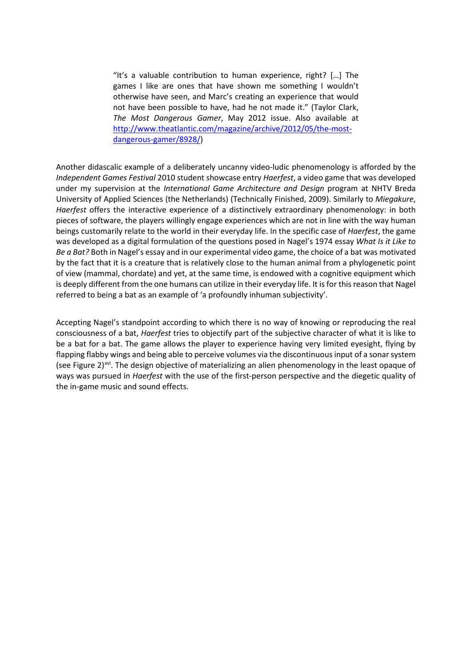"It's a valuable contribution to human experience, right? […] The games I like are ones that have shown me something I wouldn't otherwise have seen, and Marc's creating an experience that would not have been possible to have, had he not made it." (Taylor Clark, *The Most Dangerous Gamer*, May 2012 issue. Also available at [http://www.theatlantic.com/magazine/archive/2012/05/the-most](http://www.theatlantic.com/magazine/archive/2012/05/the-most-dangerous-gamer/8928/)[dangerous-gamer/8928/\)](http://www.theatlantic.com/magazine/archive/2012/05/the-most-dangerous-gamer/8928/)

Another didascalic example of a deliberately uncanny video-ludic phenomenology is afforded by the *Independent Games Festival* 2010 student showcase entry *Haerfest*, a video game that was developed under my supervision at the *International Game Architecture and Design* program at NHTV Breda University of Applied Sciences (the Netherlands) (Technically Finished, 2009). Similarly to *Miegakure*, *Haerfest* offers the interactive experience of a distinctively extraordinary phenomenology: in both pieces of software, the players willingly engage experiences which are not in line with the way human beings customarily relate to the world in their everyday life. In the specific case of *Haerfest*, the game was developed as a digital formulation of the questions posed in Nagel's 1974 essay *What Is it Like to Be a Bat?* Both in Nagel's essay and in our experimental video game, the choice of a bat was motivated by the fact that it is a creature that is relatively close to the human animal from a phylogenetic point of view (mammal, chordate) and yet, at the same time, is endowed with a cognitive equipment which is deeply different from the one humans can utilize in their everyday life. It is for this reason that Nagel referred to being a bat as an example of 'a profoundly inhuman subjectivity'.

Accepting Nagel's standpoint according to which there is no way of knowing or reproducing the real consciousness of a bat, *Haerfest* tries to objectify part of the subjective character of what it is like to be a bat for a bat. The game allows the player to experience having very limited eyesight, flying by flapping flabby wings and being able to perceive volumes via the discontinuous input of a sonar system (see Figure 2)<sup>xvi</sup>. The design objective of materializing an alien phenomenology in the least opaque of ways was pursued in *Haerfest* with the use of the first-person perspective and the diegetic quality of the in-game music and sound effects.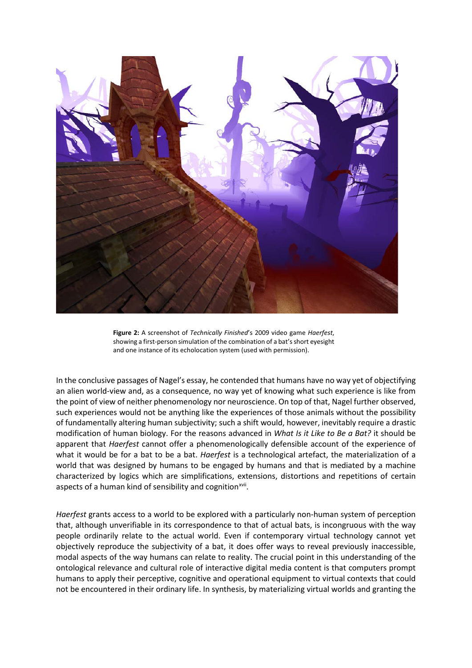

**Figure 2:** A screenshot of *Technically Finished*'s 2009 video game *Haerfest*, showing a first-person simulation of the combination of a bat's short eyesight and one instance of its echolocation system (used with permission).

In the conclusive passages of Nagel's essay, he contended that humans have no way yet of objectifying an alien world-view and, as a consequence, no way yet of knowing what such experience is like from the point of view of neither phenomenology nor neuroscience. On top of that, Nagel further observed, such experiences would not be anything like the experiences of those animals without the possibility of fundamentally altering human subjectivity; such a shift would, however, inevitably require a drastic modification of human biology. For the reasons advanced in *What Is it Like to Be a Bat?* it should be apparent that *Haerfest* cannot offer a phenomenologically defensible account of the experience of what it would be for a bat to be a bat. *Haerfest* is a technological artefact, the materialization of a world that was designed by humans to be engaged by humans and that is mediated by a machine characterized by logics which are simplifications, extensions, distortions and repetitions of certain aspects of a human kind of sensibility and cognition<sup>xvii</sup>.

*Haerfest* grants access to a world to be explored with a particularly non-human system of perception that, although unverifiable in its correspondence to that of actual bats, is incongruous with the way people ordinarily relate to the actual world. Even if contemporary virtual technology cannot yet objectively reproduce the subjectivity of a bat, it does offer ways to reveal previously inaccessible, modal aspects of the way humans can relate to reality. The crucial point in this understanding of the ontological relevance and cultural role of interactive digital media content is that computers prompt humans to apply their perceptive, cognitive and operational equipment to virtual contexts that could not be encountered in their ordinary life. In synthesis, by materializing virtual worlds and granting the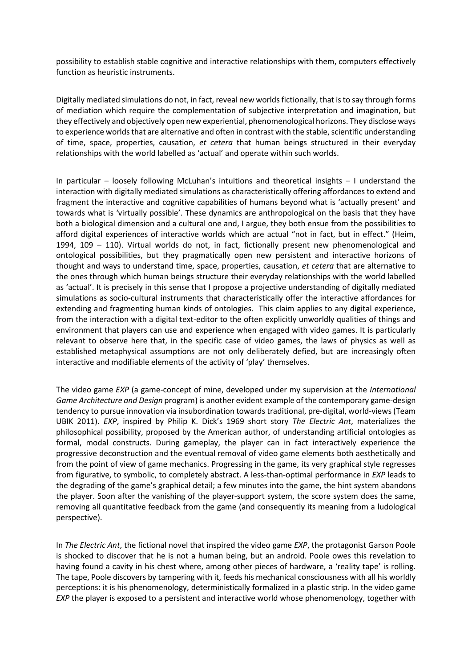possibility to establish stable cognitive and interactive relationships with them, computers effectively function as heuristic instruments.

Digitally mediated simulations do not, in fact, reveal new worlds fictionally, that is to say through forms of mediation which require the complementation of subjective interpretation and imagination, but they effectively and objectively open new experiential, phenomenological horizons. They disclose ways to experience worlds that are alternative and often in contrast with the stable, scientific understanding of time, space, properties, causation, *et cetera* that human beings structured in their everyday relationships with the world labelled as 'actual' and operate within such worlds.

In particular – loosely following McLuhan's intuitions and theoretical insights – I understand the interaction with digitally mediated simulations as characteristically offering affordances to extend and fragment the interactive and cognitive capabilities of humans beyond what is 'actually present' and towards what is 'virtually possible'. These dynamics are anthropological on the basis that they have both a biological dimension and a cultural one and, I argue, they both ensue from the possibilities to afford digital experiences of interactive worlds which are actual "not in fact, but in effect." (Heim, 1994, 109 – 110). Virtual worlds do not, in fact, fictionally present new phenomenological and ontological possibilities, but they pragmatically open new persistent and interactive horizons of thought and ways to understand time, space, properties, causation, *et cetera* that are alternative to the ones through which human beings structure their everyday relationships with the world labelled as 'actual'. It is precisely in this sense that I propose a projective understanding of digitally mediated simulations as socio-cultural instruments that characteristically offer the interactive affordances for extending and fragmenting human kinds of ontologies. This claim applies to any digital experience, from the interaction with a digital text-editor to the often explicitly unworldly qualities of things and environment that players can use and experience when engaged with video games. It is particularly relevant to observe here that, in the specific case of video games, the laws of physics as well as established metaphysical assumptions are not only deliberately defied, but are increasingly often interactive and modifiable elements of the activity of 'play' themselves.

The video game *EXP* (a game-concept of mine, developed under my supervision at the *International Game Architecture and Design* program) is another evident example of the contemporary game-design tendency to pursue innovation via insubordination towards traditional, pre-digital, world-views (Team UBIK 2011). *EXP*, inspired by Philip K. Dick's 1969 short story *The Electric Ant*, materializes the philosophical possibility, proposed by the American author, of understanding artificial ontologies as formal, modal constructs. During gameplay, the player can in fact interactively experience the progressive deconstruction and the eventual removal of video game elements both aesthetically and from the point of view of game mechanics. Progressing in the game, its very graphical style regresses from figurative, to symbolic, to completely abstract. A less-than-optimal performance in *EXP* leads to the degrading of the game's graphical detail; a few minutes into the game, the hint system abandons the player. Soon after the vanishing of the player-support system, the score system does the same, removing all quantitative feedback from the game (and consequently its meaning from a ludological perspective).

In *The Electric Ant*, the fictional novel that inspired the video game *EXP*, the protagonist Garson Poole is shocked to discover that he is not a human being, but an android. Poole owes this revelation to having found a cavity in his chest where, among other pieces of hardware, a 'reality tape' is rolling. The tape, Poole discovers by tampering with it, feeds his mechanical consciousness with all his worldly perceptions: it is his phenomenology, deterministically formalized in a plastic strip. In the video game *EXP* the player is exposed to a persistent and interactive world whose phenomenology, together with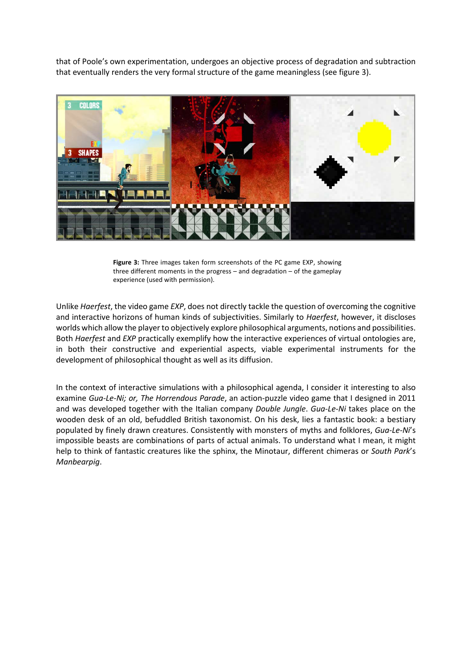that of Poole's own experimentation, undergoes an objective process of degradation and subtraction that eventually renders the very formal structure of the game meaningless (see figure 3).



**Figure 3:** Three images taken form screenshots of the PC game EXP, showing three different moments in the progress – and degradation – of the gameplay experience (used with permission).

Unlike *Haerfest*, the video game *EXP*, does not directly tackle the question of overcoming the cognitive and interactive horizons of human kinds of subjectivities. Similarly to *Haerfest*, however, it discloses worlds which allow the player to objectively explore philosophical arguments, notions and possibilities. Both *Haerfest* and *EXP* practically exemplify how the interactive experiences of virtual ontologies are, in both their constructive and experiential aspects, viable experimental instruments for the development of philosophical thought as well as its diffusion.

In the context of interactive simulations with a philosophical agenda, I consider it interesting to also examine *Gua-Le-Ni; or, The Horrendous Parade*, an action-puzzle video game that I designed in 2011 and was developed together with the Italian company *Double Jungle*. *Gua-Le-Ni* takes place on the wooden desk of an old, befuddled British taxonomist. On his desk, lies a fantastic book: a bestiary populated by finely drawn creatures. Consistently with monsters of myths and folklores, *Gua-Le-Ni*'s impossible beasts are combinations of parts of actual animals. To understand what I mean, it might help to think of fantastic creatures like the sphinx, the Minotaur, different chimeras or *South Park*'s *Manbearpig*.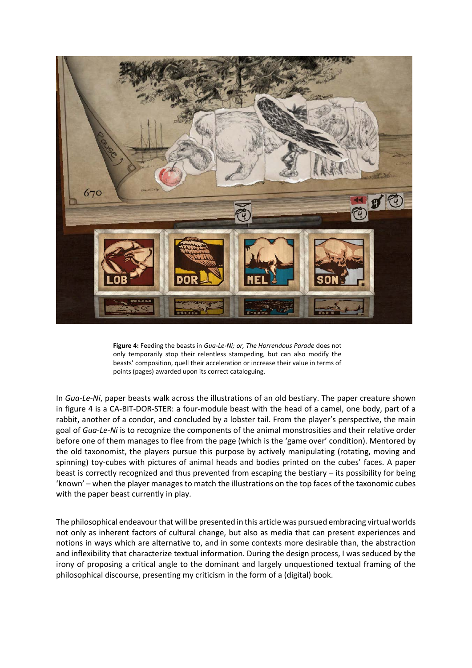

**Figure 4:** Feeding the beasts in *Gua-Le-Ni; or, The Horrendous Parade* does not only temporarily stop their relentless stampeding, but can also modify the beasts' composition, quell their acceleration or increase their value in terms of points (pages) awarded upon its correct cataloguing.

In *Gua-Le-Ni*, paper beasts walk across the illustrations of an old bestiary. The paper creature shown in figure 4 is a CA-BIT-DOR-STER: a four-module beast with the head of a camel, one body, part of a rabbit, another of a condor, and concluded by a lobster tail. From the player's perspective, the main goal of *Gua-Le-Ni* is to recognize the components of the animal monstrosities and their relative order before one of them manages to flee from the page (which is the 'game over' condition). Mentored by the old taxonomist, the players pursue this purpose by actively manipulating (rotating, moving and spinning) toy-cubes with pictures of animal heads and bodies printed on the cubes' faces. A paper beast is correctly recognized and thus prevented from escaping the bestiary – its possibility for being 'known' – when the player manages to match the illustrations on the top faces of the taxonomic cubes with the paper beast currently in play.

The philosophical endeavour that will be presented in this article was pursued embracing virtual worlds not only as inherent factors of cultural change, but also as media that can present experiences and notions in ways which are alternative to, and in some contexts more desirable than, the abstraction and inflexibility that characterize textual information. During the design process, I was seduced by the irony of proposing a critical angle to the dominant and largely unquestioned textual framing of the philosophical discourse, presenting my criticism in the form of a (digital) book.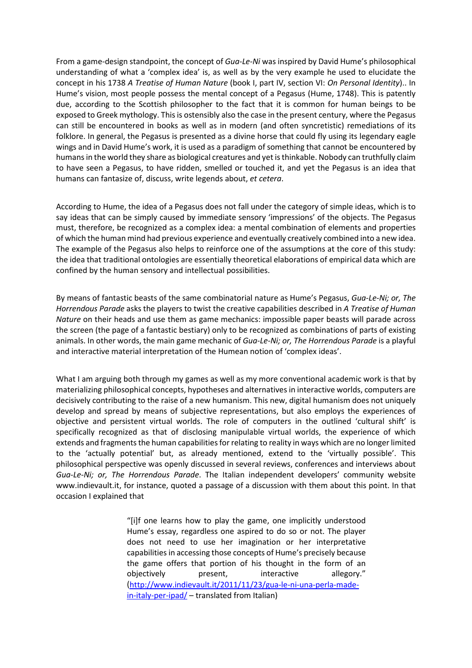From a game-design standpoint, the concept of *Gua-Le-Ni* was inspired by David Hume's philosophical understanding of what a 'complex idea' is, as well as by the very example he used to elucidate the concept in his 1738 *A Treatise of Human Nature* (book I, part IV, section VI: *On Personal Identity*).. In Hume's vision, most people possess the mental concept of a Pegasus (Hume, 1748). This is patently due, according to the Scottish philosopher to the fact that it is common for human beings to be exposed to Greek mythology. This is ostensibly also the case in the present century, where the Pegasus can still be encountered in books as well as in modern (and often syncretistic) remediations of its folklore. In general, the Pegasus is presented as a divine horse that could fly using its legendary eagle wings and in David Hume's work, it is used as a paradigm of something that cannot be encountered by humans in the world they share as biological creatures and yet is thinkable. Nobody can truthfully claim to have seen a Pegasus, to have ridden, smelled or touched it, and yet the Pegasus is an idea that humans can fantasize of, discuss, write legends about, *et cetera*.

According to Hume, the idea of a Pegasus does not fall under the category of simple ideas, which is to say ideas that can be simply caused by immediate sensory 'impressions' of the objects. The Pegasus must, therefore, be recognized as a complex idea: a mental combination of elements and properties of which the human mind had previous experience and eventually creatively combined into a new idea. The example of the Pegasus also helps to reinforce one of the assumptions at the core of this study: the idea that traditional ontologies are essentially theoretical elaborations of empirical data which are confined by the human sensory and intellectual possibilities.

By means of fantastic beasts of the same combinatorial nature as Hume's Pegasus, *Gua-Le-Ni; or, The Horrendous Parade* asks the players to twist the creative capabilities described in *A Treatise of Human Nature* on their heads and use them as game mechanics: impossible paper beasts will parade across the screen (the page of a fantastic bestiary) only to be recognized as combinations of parts of existing animals. In other words, the main game mechanic of *Gua-Le-Ni; or, The Horrendous Parade* is a playful and interactive material interpretation of the Humean notion of 'complex ideas'.

What I am arguing both through my games as well as my more conventional academic work is that by materializing philosophical concepts, hypotheses and alternatives in interactive worlds, computers are decisively contributing to the raise of a new humanism. This new, digital humanism does not uniquely develop and spread by means of subjective representations, but also employs the experiences of objective and persistent virtual worlds. The role of computers in the outlined 'cultural shift' is specifically recognized as that of disclosing manipulable virtual worlds, the experience of which extends and fragments the human capabilities for relating to reality in ways which are no longer limited to the 'actually potential' but, as already mentioned, extend to the 'virtually possible'. This philosophical perspective was openly discussed in several reviews, conferences and interviews about *Gua-Le-Ni; or, The Horrendous Parade*. The Italian independent developers' community website www.indievault.it, for instance, quoted a passage of a discussion with them about this point. In that occasion I explained that

> "[i]f one learns how to play the game, one implicitly understood Hume's essay, regardless one aspired to do so or not. The player does not need to use her imagination or her interpretative capabilities in accessing those concepts of Hume's precisely because the game offers that portion of his thought in the form of an objectively present, interactive allegory." [\(http://www.indievault.it/2011/11/23/gua-le-ni-una-perla-made](http://www.indievault.it/2011/11/23/gua-le-ni-una-perla-made-in-italy-per-ipad/)[in-italy-per-ipad/](http://www.indievault.it/2011/11/23/gua-le-ni-una-perla-made-in-italy-per-ipad/) – translated from Italian)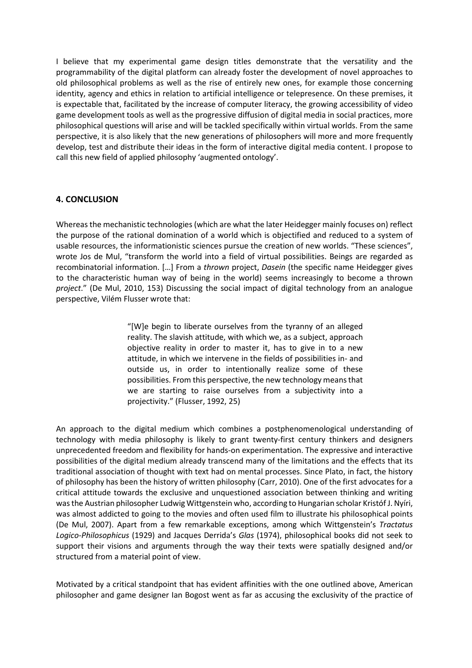I believe that my experimental game design titles demonstrate that the versatility and the programmability of the digital platform can already foster the development of novel approaches to old philosophical problems as well as the rise of entirely new ones, for example those concerning identity, agency and ethics in relation to artificial intelligence or telepresence. On these premises, it is expectable that, facilitated by the increase of computer literacy, the growing accessibility of video game development tools as well as the progressive diffusion of digital media in social practices, more philosophical questions will arise and will be tackled specifically within virtual worlds. From the same perspective, it is also likely that the new generations of philosophers will more and more frequently develop, test and distribute their ideas in the form of interactive digital media content. I propose to call this new field of applied philosophy 'augmented ontology'.

## **4. CONCLUSION**

Whereas the mechanistic technologies (which are what the later Heidegger mainly focuses on) reflect the purpose of the rational domination of a world which is objectified and reduced to a system of usable resources, the informationistic sciences pursue the creation of new worlds. "These sciences", wrote Jos de Mul, "transform the world into a field of virtual possibilities. Beings are regarded as recombinatorial information. […] From a *thrown* project, *Dasein* (the specific name Heidegger gives to the characteristic human way of being in the world) seems increasingly to become a thrown *project*." (De Mul, 2010, 153) Discussing the social impact of digital technology from an analogue perspective, Vilém Flusser wrote that:

> "[W]e begin to liberate ourselves from the tyranny of an alleged reality. The slavish attitude, with which we, as a subject, approach objective reality in order to master it, has to give in to a new attitude, in which we intervene in the fields of possibilities in- and outside us, in order to intentionally realize some of these possibilities. From this perspective, the new technology means that we are starting to raise ourselves from a subjectivity into a projectivity." (Flusser, 1992, 25)

An approach to the digital medium which combines a postphenomenological understanding of technology with media philosophy is likely to grant twenty-first century thinkers and designers unprecedented freedom and flexibility for hands-on experimentation. The expressive and interactive possibilities of the digital medium already transcend many of the limitations and the effects that its traditional association of thought with text had on mental processes. Since Plato, in fact, the history of philosophy has been the history of written philosophy (Carr, 2010). One of the first advocates for a critical attitude towards the exclusive and unquestioned association between thinking and writing was the Austrian philosopher Ludwig Wittgenstein who, according to Hungarian scholar Kristóf J. Nyíri, was almost addicted to going to the movies and often used film to illustrate his philosophical points (De Mul, 2007). Apart from a few remarkable exceptions, among which Wittgenstein's *Tractatus Logico-Philosophicus* (1929) and Jacques Derrida's *Glas* (1974), philosophical books did not seek to support their visions and arguments through the way their texts were spatially designed and/or structured from a material point of view.

Motivated by a critical standpoint that has evident affinities with the one outlined above, American philosopher and game designer Ian Bogost went as far as accusing the exclusivity of the practice of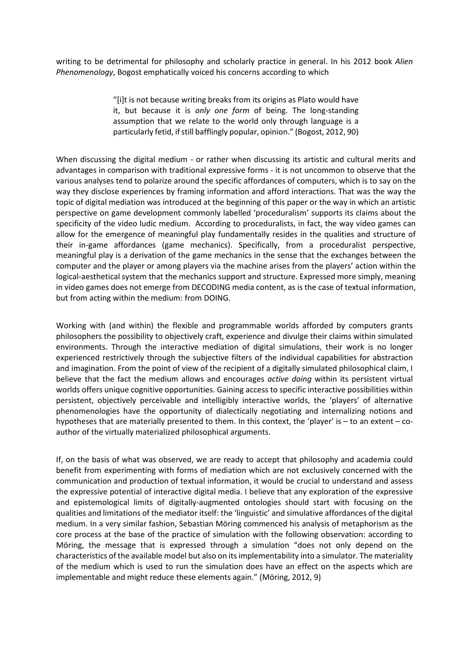writing to be detrimental for philosophy and scholarly practice in general. In his 2012 book *Alien Phenomenology*, Bogost emphatically voiced his concerns according to which

> "[i]t is not because writing breaks from its origins as Plato would have it, but because it is *only one form* of being. The long-standing assumption that we relate to the world only through language is a particularly fetid, if still bafflingly popular, opinion." (Bogost, 2012, 90)

When discussing the digital medium - or rather when discussing its artistic and cultural merits and advantages in comparison with traditional expressive forms - it is not uncommon to observe that the various analyses tend to polarize around the specific affordances of computers, which is to say on the way they disclose experiences by framing information and afford interactions. That was the way the topic of digital mediation was introduced at the beginning of this paper or the way in which an artistic perspective on game development commonly labelled 'proceduralism' supports its claims about the specificity of the video ludic medium. According to proceduralists, in fact, the way video games can allow for the emergence of meaningful play fundamentally resides in the qualities and structure of their in-game affordances (game mechanics). Specifically, from a proceduralist perspective, meaningful play is a derivation of the game mechanics in the sense that the exchanges between the computer and the player or among players via the machine arises from the players' action within the logical-aesthetical system that the mechanics support and structure. Expressed more simply, meaning in video games does not emerge from DECODING media content, as is the case of textual information, but from acting within the medium: from DOING.

Working with (and within) the flexible and programmable worlds afforded by computers grants philosophers the possibility to objectively craft, experience and divulge their claims within simulated environments. Through the interactive mediation of digital simulations, their work is no longer experienced restrictively through the subjective filters of the individual capabilities for abstraction and imagination. From the point of view of the recipient of a digitally simulated philosophical claim, I believe that the fact the medium allows and encourages *active doing* within its persistent virtual worlds offers unique cognitive opportunities. Gaining access to specific interactive possibilities within persistent, objectively perceivable and intelligibly interactive worlds, the 'players' of alternative phenomenologies have the opportunity of dialectically negotiating and internalizing notions and hypotheses that are materially presented to them. In this context, the 'player' is – to an extent – coauthor of the virtually materialized philosophical arguments.

If, on the basis of what was observed, we are ready to accept that philosophy and academia could benefit from experimenting with forms of mediation which are not exclusively concerned with the communication and production of textual information, it would be crucial to understand and assess the expressive potential of interactive digital media. I believe that any exploration of the expressive and epistemological limits of digitally-augmented ontologies should start with focusing on the qualities and limitations of the mediator itself: the 'linguistic' and simulative affordances of the digital medium. In a very similar fashion, Sebastian Möring commenced his analysis of metaphorism as the core process at the base of the practice of simulation with the following observation: according to Möring, the message that is expressed through a simulation "does not only depend on the characteristics of the available model but also on its implementability into a simulator. The materiality of the medium which is used to run the simulation does have an effect on the aspects which are implementable and might reduce these elements again." (Möring, 2012, 9)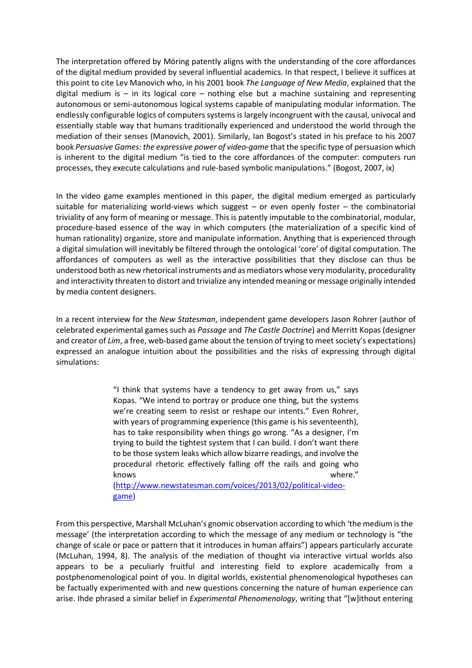The interpretation offered by Möring patently aligns with the understanding of the core affordances of the digital medium provided by several influential academics. In that respect, I believe it suffices at this point to cite Lev Manovich who, in his 2001 book *The Language of New Media*, explained that the digital medium is – in its logical core – nothing else but a machine sustaining and representing autonomous or semi-autonomous logical systems capable of manipulating modular information. The endlessly configurable logics of computers systems is largely incongruent with the causal, univocal and essentially stable way that humans traditionally experienced and understood the world through the mediation of their senses (Manovich, 2001). Similarly, Ian Bogost's stated in his preface to his 2007 book *Persuasive Games: the expressive power of video-game* that the specific type of persuasion which is inherent to the digital medium "is tied to the core affordances of the computer: computers run processes, they execute calculations and rule-based symbolic manipulations." (Bogost, 2007, ix)

In the video game examples mentioned in this paper, the digital medium emerged as particularly suitable for materializing world-views which suggest – or even openly foster – the combinatorial triviality of any form of meaning or message. This is patently imputable to the combinatorial, modular, procedure-based essence of the way in which computers (the materialization of a specific kind of human rationality) organize, store and manipulate information. Anything that is experienced through a digital simulation will inevitably be filtered through the ontological 'core' of digital computation. The affordances of computers as well as the interactive possibilities that they disclose can thus be understood both as new rhetorical instruments and as mediators whose very modularity, procedurality and interactivity threaten to distort and trivialize any intended meaning or message originally intended by media content designers.

In a recent interview for the *New Statesman*, independent game developers Jason Rohrer (author of celebrated experimental games such as *Passage* and *The Castle Doctrine*) and Merritt Kopas (designer and creator of *Lim*, a free, web-based game about the tension of trying to meet society's expectations) expressed an analogue intuition about the possibilities and the risks of expressing through digital simulations:

> "I think that systems have a tendency to get away from us," says Kopas. "We intend to portray or produce one thing, but the systems we're creating seem to resist or reshape our intents." Even Rohrer, with years of programming experience (this game is his seventeenth), has to take responsibility when things go wrong. "As a designer, I'm trying to build the tightest system that I can build. I don't want there to be those system leaks which allow bizarre readings, and involve the procedural rhetoric effectively falling off the rails and going who knows where."

[\(http://www.newstatesman.com/voices/2013/02/political-video](http://www.newstatesman.com/voices/2013/02/political-video-game)[game\)](http://www.newstatesman.com/voices/2013/02/political-video-game)

From this perspective, Marshall McLuhan's gnomic observation according to which 'the medium is the message' (the interpretation according to which the message of any medium or technology is "the change of scale or pace or pattern that it introduces in human affairs") appears particularly accurate (McLuhan, 1994, 8). The analysis of the mediation of thought via interactive virtual worlds also appears to be a peculiarly fruitful and interesting field to explore academically from a postphenomenological point of you. In digital worlds, existential phenomenological hypotheses can be factually experimented with and new questions concerning the nature of human experience can arise. Ihde phrased a similar belief in *Experimental Phenomenology*, writing that "[w]ithout entering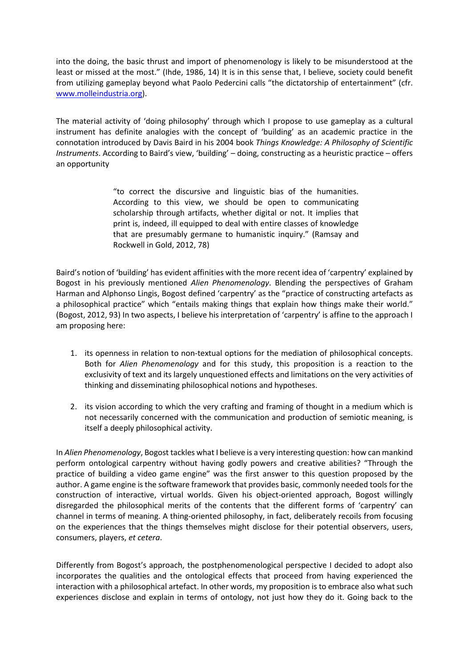into the doing, the basic thrust and import of phenomenology is likely to be misunderstood at the least or missed at the most." (Ihde, 1986, 14) It is in this sense that, I believe, society could benefit from utilizing gameplay beyond what Paolo Pedercini calls "the dictatorship of entertainment" (cfr. [www.molleindustria.org\)](http://www.molleindustria.org/).

The material activity of 'doing philosophy' through which I propose to use gameplay as a cultural instrument has definite analogies with the concept of 'building' as an academic practice in the connotation introduced by Davis Baird in his 2004 book *Things Knowledge: A Philosophy of Scientific Instruments*. According to Baird's view, 'building' – doing, constructing as a heuristic practice – offers an opportunity

> "to correct the discursive and linguistic bias of the humanities. According to this view, we should be open to communicating scholarship through artifacts, whether digital or not. It implies that print is, indeed, ill equipped to deal with entire classes of knowledge that are presumably germane to humanistic inquiry." (Ramsay and Rockwell in Gold, 2012, 78)

Baird's notion of 'building' has evident affinities with the more recent idea of 'carpentry' explained by Bogost in his previously mentioned *Alien Phenomenology*. Blending the perspectives of Graham Harman and Alphonso Lingis, Bogost defined 'carpentry' as the "practice of constructing artefacts as a philosophical practice" which "entails making things that explain how things make their world." (Bogost, 2012, 93) In two aspects, I believe his interpretation of 'carpentry' is affine to the approach I am proposing here:

- 1. its openness in relation to non-textual options for the mediation of philosophical concepts. Both for *Alien Phenomenology* and for this study, this proposition is a reaction to the exclusivity of text and its largely unquestioned effects and limitations on the very activities of thinking and disseminating philosophical notions and hypotheses.
- 2. its vision according to which the very crafting and framing of thought in a medium which is not necessarily concerned with the communication and production of semiotic meaning, is itself a deeply philosophical activity.

In *Alien Phenomenology*, Bogost tackles what I believe is a very interesting question: how can mankind perform ontological carpentry without having godly powers and creative abilities? "Through the practice of building a video game engine" was the first answer to this question proposed by the author. A game engine is the software framework that provides basic, commonly needed tools for the construction of interactive, virtual worlds. Given his object-oriented approach, Bogost willingly disregarded the philosophical merits of the contents that the different forms of 'carpentry' can channel in terms of meaning. A thing-oriented philosophy, in fact, deliberately recoils from focusing on the experiences that the things themselves might disclose for their potential observers, users, consumers, players, *et cetera*.

Differently from Bogost's approach, the postphenomenological perspective I decided to adopt also incorporates the qualities and the ontological effects that proceed from having experienced the interaction with a philosophical artefact. In other words, my proposition is to embrace also what such experiences disclose and explain in terms of ontology, not just how they do it. Going back to the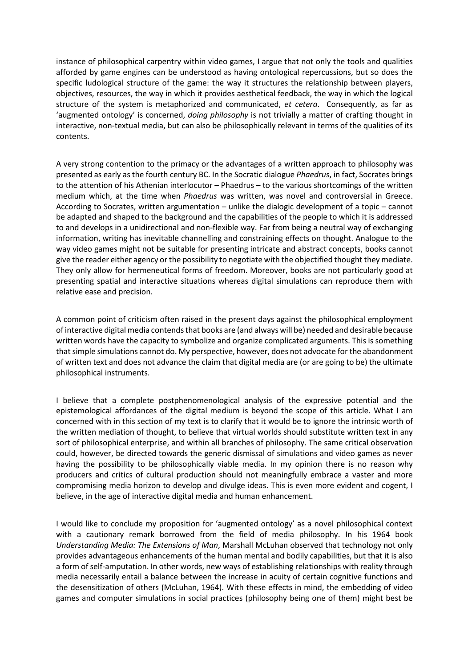instance of philosophical carpentry within video games, I argue that not only the tools and qualities afforded by game engines can be understood as having ontological repercussions, but so does the specific ludological structure of the game: the way it structures the relationship between players, objectives, resources, the way in which it provides aesthetical feedback, the way in which the logical structure of the system is metaphorized and communicated, *et cetera*. Consequently, as far as 'augmented ontology' is concerned, *doing philosophy* is not trivially a matter of crafting thought in interactive, non-textual media, but can also be philosophically relevant in terms of the qualities of its contents.

A very strong contention to the primacy or the advantages of a written approach to philosophy was presented as early as the fourth century BC. In the Socratic dialogue *Phaedrus*, in fact, Socrates brings to the attention of his Athenian interlocutor – Phaedrus – to the various shortcomings of the written medium which, at the time when *Phaedrus* was written, was novel and controversial in Greece. According to Socrates, written argumentation – unlike the dialogic development of a topic – cannot be adapted and shaped to the background and the capabilities of the people to which it is addressed to and develops in a unidirectional and non-flexible way. Far from being a neutral way of exchanging information, writing has inevitable channelling and constraining effects on thought. Analogue to the way video games might not be suitable for presenting intricate and abstract concepts, books cannot give the reader either agency or the possibility to negotiate with the objectified thought they mediate. They only allow for hermeneutical forms of freedom. Moreover, books are not particularly good at presenting spatial and interactive situations whereas digital simulations can reproduce them with relative ease and precision.

A common point of criticism often raised in the present days against the philosophical employment of interactive digital media contends that books are (and always will be) needed and desirable because written words have the capacity to symbolize and organize complicated arguments. This is something that simple simulations cannot do. My perspective, however, does not advocate for the abandonment of written text and does not advance the claim that digital media are (or are going to be) the ultimate philosophical instruments.

I believe that a complete postphenomenological analysis of the expressive potential and the epistemological affordances of the digital medium is beyond the scope of this article. What I am concerned with in this section of my text is to clarify that it would be to ignore the intrinsic worth of the written mediation of thought, to believe that virtual worlds should substitute written text in any sort of philosophical enterprise, and within all branches of philosophy. The same critical observation could, however, be directed towards the generic dismissal of simulations and video games as never having the possibility to be philosophically viable media. In my opinion there is no reason why producers and critics of cultural production should not meaningfully embrace a vaster and more compromising media horizon to develop and divulge ideas. This is even more evident and cogent, I believe, in the age of interactive digital media and human enhancement.

I would like to conclude my proposition for 'augmented ontology' as a novel philosophical context with a cautionary remark borrowed from the field of media philosophy. In his 1964 book *Understanding Media: The Extensions of Man*, Marshall McLuhan observed that technology not only provides advantageous enhancements of the human mental and bodily capabilities, but that it is also a form of self-amputation. In other words, new ways of establishing relationships with reality through media necessarily entail a balance between the increase in acuity of certain cognitive functions and the desensitization of others (McLuhan, 1964). With these effects in mind, the embedding of video games and computer simulations in social practices (philosophy being one of them) might best be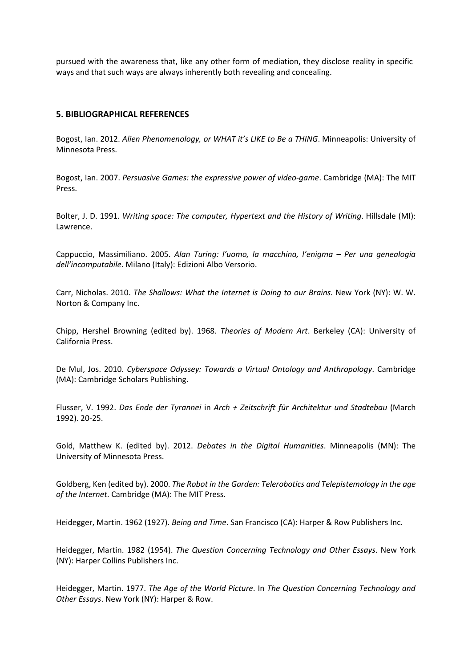pursued with the awareness that, like any other form of mediation, they disclose reality in specific ways and that such ways are always inherently both revealing and concealing.

### **5. BIBLIOGRAPHICAL REFERENCES**

Bogost, Ian. 2012. *Alien Phenomenology, or WHAT it's LIKE to Be a THING*. Minneapolis: University of Minnesota Press.

Bogost, Ian. 2007. *Persuasive Games: the expressive power of video-game*. Cambridge (MA): The MIT Press.

Bolter, J. D. 1991. *Writing space: The computer, Hypertext and the History of Writing*. Hillsdale (MI): Lawrence.

Cappuccio, Massimiliano. 2005. *Alan Turing: l'uomo, la macchina, l'enigma – Per una genealogia dell'incomputabile*. Milano (Italy): Edizioni Albo Versorio.

Carr, Nicholas. 2010. *The Shallows: What the Internet is Doing to our Brains.* New York (NY): W. W. Norton & Company Inc.

Chipp, Hershel Browning (edited by). 1968. *Theories of Modern Art*. Berkeley (CA): University of California Press.

De Mul, Jos. 2010. *Cyberspace Odyssey: Towards a Virtual Ontology and Anthropology*. Cambridge (MA): Cambridge Scholars Publishing.

Flusser, V. 1992. *Das Ende der Tyrannei* in *Arch + Zeitschrift für Architektur und Stadtebau* (March 1992). 20-25.

Gold, Matthew K. (edited by). 2012. *Debates in the Digital Humanities*. Minneapolis (MN): The University of Minnesota Press.

Goldberg, Ken (edited by). 2000. *The Robot in the Garden: Telerobotics and Telepistemology in the age of the Internet*. Cambridge (MA): The MIT Press.

Heidegger, Martin. 1962 (1927). *Being and Time*. San Francisco (CA): Harper & Row Publishers Inc.

Heidegger, Martin. 1982 (1954). *The Question Concerning Technology and Other Essays*. New York (NY): Harper Collins Publishers Inc.

Heidegger, Martin. 1977. *The Age of the World Picture*. In *The Question Concerning Technology and Other Essays*. New York (NY): Harper & Row.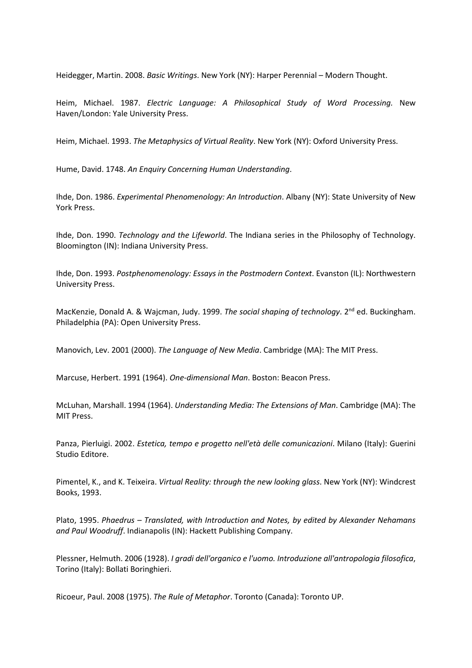Heidegger, Martin. 2008. *Basic Writings*. New York (NY): Harper Perennial – Modern Thought.

Heim, Michael. 1987. *Electric Language: A Philosophical Study of Word Processing.* New Haven/London: Yale University Press.

Heim, Michael. 1993. *The Metaphysics of Virtual Reality*. New York (NY): Oxford University Press.

Hume, David. 1748. *An Enquiry Concerning Human Understanding*.

Ihde, Don. 1986. *Experimental Phenomenology: An Introduction*. Albany (NY): State University of New York Press.

Ihde, Don. 1990. *Technology and the Lifeworld*. The Indiana series in the Philosophy of Technology. Bloomington (IN): Indiana University Press.

Ihde, Don. 1993. *Postphenomenology: Essays in the Postmodern Context*. Evanston (IL): Northwestern University Press.

MacKenzie, Donald A. & Wajcman, Judy. 1999. *The social shaping of technology*. 2<sup>nd</sup> ed. Buckingham. Philadelphia (PA): Open University Press.

Manovich, Lev. 2001 (2000). *The Language of New Media*. Cambridge (MA): The MIT Press.

Marcuse, Herbert. 1991 (1964). *One-dimensional Man*. Boston: Beacon Press.

McLuhan, Marshall. 1994 (1964). *Understanding Media: The Extensions of Man*. Cambridge (MA): The MIT Press.

Panza, Pierluigi. 2002. *Estetica, tempo e progetto nell'età delle comunicazioni*. Milano (Italy): Guerini Studio Editore.

Pimentel, K., and K. Teixeira. *Virtual Reality: through the new looking glass*. New York (NY): Windcrest Books, 1993.

Plato, 1995. *Phaedrus – Translated, with Introduction and Notes, by edited by Alexander Nehamans and Paul Woodruff*. Indianapolis (IN): Hackett Publishing Company.

Plessner, Helmuth. 2006 (1928). *I gradi dell'organico e l'uomo. Introduzione all'antropologia filosofica*, Torino (Italy): Bollati Boringhieri.

Ricoeur, Paul. 2008 (1975). *The Rule of Metaphor*. Toronto (Canada): Toronto UP.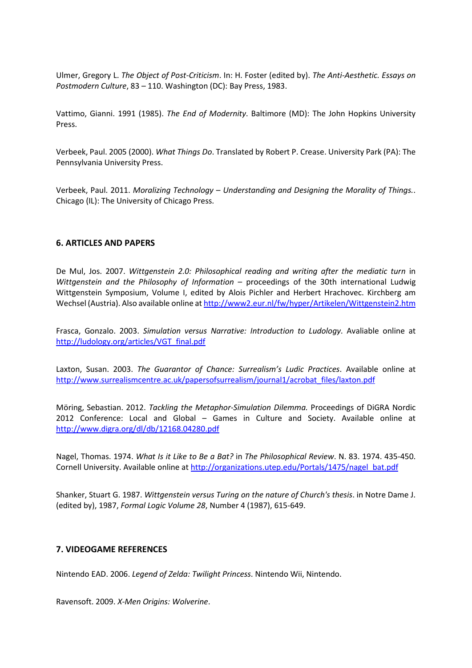Ulmer, Gregory L. *The Object of Post-Criticism*. In: H. Foster (edited by). *The Anti-Aesthetic. Essays on Postmodern Culture*, 83 – 110. Washington (DC): Bay Press, 1983.

Vattimo, Gianni. 1991 (1985). *The End of Modernity*. Baltimore (MD): The John Hopkins University Press.

Verbeek, Paul. 2005 (2000). *What Things Do*. Translated by Robert P. Crease. University Park (PA): The Pennsylvania University Press.

Verbeek, Paul. 2011. *Moralizing Technology – Understanding and Designing the Morality of Things.*. Chicago (IL): The University of Chicago Press.

## **6. ARTICLES AND PAPERS**

De Mul, Jos. 2007. *Wittgenstein 2.0: Philosophical reading and writing after the mediatic turn* in *Wittgenstein and the Philosophy of Information* – proceedings of the 30th international Ludwig Wittgenstein Symposium, Volume I, edited by Alois Pichler and Herbert Hrachovec. Kirchberg am Wechsel (Austria). Also available online at<http://www2.eur.nl/fw/hyper/Artikelen/Wittgenstein2.htm>

Frasca, Gonzalo. 2003. *Simulation versus Narrative: Introduction to Ludology*. Avaliable online at [http://ludology.org/articles/VGT\\_final.pdf](http://ludology.org/articles/VGT_final.pdf)

Laxton, Susan. 2003. *The Guarantor of Chance: Surrealism's Ludic Practices*. Available online at [http://www.surrealismcentre.ac.uk/papersofsurrealism/journal1/acrobat\\_files/laxton.pdf](http://www.surrealismcentre.ac.uk/papersofsurrealism/journal1/acrobat_files/laxton.pdf)

Möring, Sebastian. 2012. *Tackling the Metaphor-Simulation Dilemma.* Proceedings of DiGRA Nordic 2012 Conference: Local and Global – Games in Culture and Society. Available online at <http://www.digra.org/dl/db/12168.04280.pdf>

Nagel, Thomas. 1974. *What Is it Like to Be a Bat?* in *The Philosophical Review*. N. 83. 1974. 435-450. Cornell University. Available online a[t http://organizations.utep.edu/Portals/1475/nagel\\_bat.pdf](http://organizations.utep.edu/Portals/1475/nagel_bat.pdf)

Shanker, Stuart G. 1987. *Wittgenstein versus Turing on the nature of Church's thesis*. in Notre Dame J. (edited by), 1987, *Formal Logic Volume 28*, Number 4 (1987), 615-649.

#### **7. VIDEOGAME REFERENCES**

Nintendo EAD. 2006. *Legend of Zelda: Twilight Princess*. Nintendo Wii, Nintendo.

Ravensoft. 2009. *X-Men Origins: Wolverine*.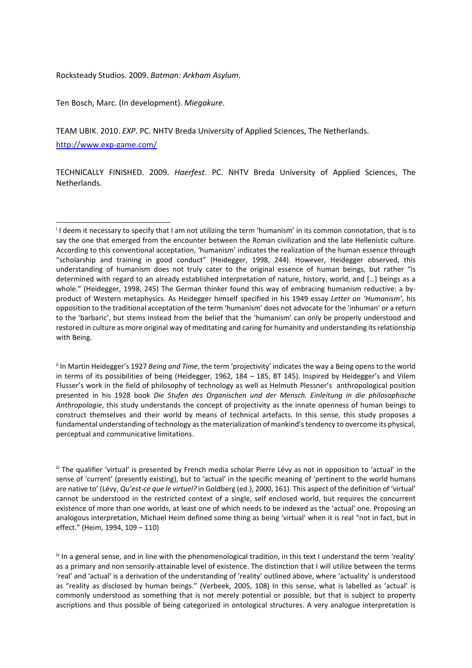Rocksteady Studios. 2009. *Batman: Arkham Asylum*.

Ten Bosch, Marc. (In development). *Miegakure*.

TEAM UBIK. 2010. *EXP*. PC. NHTV Breda University of Applied Sciences, The Netherlands. <http://www.exp-game.com/>

TECHNICALLY FINISHED. 2009. *Haerfest*. PC. NHTV Breda University of Applied Sciences, The Netherlands.

ii In Martin Heidegger's 1927 *Being and Time*, the term 'projectivity' indicates the way a Being opens to the world in terms of its possibilities of being (Heidegger, 1962, 184 – 185, BT 145). Inspired by Heidegger's and Vilem Flusser's work in the field of philosophy of technology as well as Helmuth Plessner's anthropological position presented in his 1928 book *Die Stufen des Organischen und der Mensch. Einleitung in die philosophische Anthropologie*, this study understands the concept of projectivity as the innate openness of human beings to construct themselves and their world by means of technical artefacts. In this sense, this study proposes a fundamental understanding of technology as the materialization of mankind's tendency to overcome its physical, perceptual and communicative limitations.

iii The qualifier 'virtual' is presented by French media scholar Pierre Lévy as not in opposition to 'actual' in the sense of 'current' (presently existing), but to 'actual' in the specific meaning of 'pertinent to the world humans are native to' (Lévy, *Qu'est-ce que le virtuel?* in Goldberg (ed.), 2000, 161). This aspect of the definition of 'virtual' cannot be understood in the restricted context of a single, self enclosed world, but requires the concurrent existence of more than one worlds, at least one of which needs to be indexed as the 'actual' one. Proposing an analogous interpretation, Michael Heim defined some thing as being 'virtual' when it is real "not in fact, but in effect." (Heim, 1994, 109 – 110)

iv In a general sense, and in line with the phenomenological tradition, in this text I understand the term 'reality' as a primary and non sensorily-attainable level of existence. The distinction that I will utilize between the terms 'real' and 'actual' is a derivation of the understanding of 'reality' outlined above, where 'actuality' is understood as "reality as disclosed by human beings." (Verbeek, 2005, 108) In this sense, what is labelled as 'actual' is commonly understood as something that is not merely potential or possible, but that is subject to property ascriptions and thus possible of being categorized in ontological structures. A very analogue interpretation is

<sup>i</sup> I deem it necessary to specify that I am not utilizing the term 'humanism' in its common connotation, that is to say the one that emerged from the encounter between the Roman civilization and the late Hellenistic culture. According to this conventional acceptation, 'humanism' indicates the realization of the human essence through "scholarship and training in good conduct" (Heidegger, 1998, 244). However, Heidegger observed, this understanding of humanism does not truly cater to the original essence of human beings, but rather "is determined with regard to an already established interpretation of nature, history, world, and […] beings as a whole." (Heidegger, 1998, 245) The German thinker found this way of embracing humanism reductive: a byproduct of Western metaphysics. As Heidegger himself specified in his 1949 essay *Letter on 'Humanism'*, his opposition to the traditional acceptation of the term 'humanism' does not advocate for the 'inhuman' or a return to the 'barbaric', but stems instead from the belief that the 'humanism' can only be properly understood and restored in culture as more original way of meditating and caring for humanity and understanding its relationship with Being. j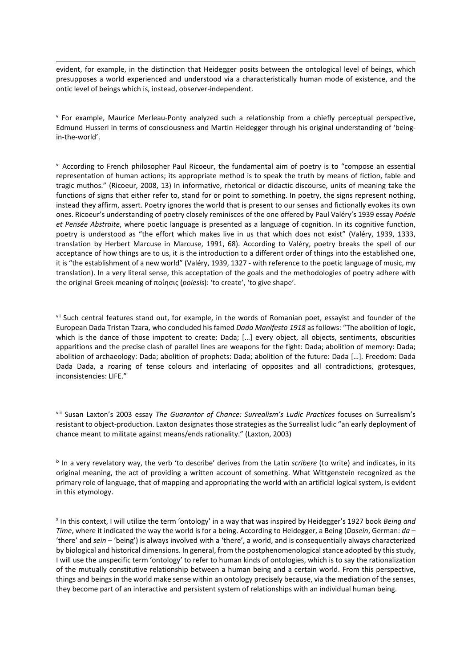evident, for example, in the distinction that Heidegger posits between the ontological level of beings, which presupposes a world experienced and understood via a characteristically human mode of existence, and the ontic level of beings which is, instead, observer-independent.

1

<sup>v</sup> For example, Maurice Merleau-Ponty analyzed such a relationship from a chiefly perceptual perspective, Edmund Husserl in terms of consciousness and Martin Heidegger through his original understanding of 'beingin-the-world'.

vi According to French philosopher Paul Ricoeur, the fundamental aim of poetry is to "compose an essential representation of human actions; its appropriate method is to speak the truth by means of fiction, fable and tragic muthos." (Ricoeur, 2008, 13) In informative, rhetorical or didactic discourse, units of meaning take the functions of signs that either refer to, stand for or point to something. In poetry, the signs represent nothing, instead they affirm, assert. Poetry ignores the world that is present to our senses and fictionally evokes its own ones. Ricoeur's understanding of poetry closely reminisces of the one offered by Paul Valéry's 1939 essay *Poésie et Pensée Abstraite*, where poetic language is presented as a language of cognition. In its cognitive function, poetry is understood as "the effort which makes live in us that which does not exist" (Valéry, 1939, 1333, translation by Herbert Marcuse in Marcuse, 1991, 68). According to Valéry, poetry breaks the spell of our acceptance of how things are to us, it is the introduction to a different order of things into the established one, it is "the establishment of a new world" (Valéry, 1939, 1327 - with reference to the poetic language of music, my translation). In a very literal sense, this acceptation of the goals and the methodologies of poetry adhere with the original Greek meaning of ποίησις (*poiesis*): 'to create', 'to give shape'.

vii Such central features stand out, for example, in the words of Romanian poet, essayist and founder of the European Dada Tristan Tzara, who concluded his famed *Dada Manifesto 1918* as follows: "The abolition of logic, which is the dance of those impotent to create: Dada; [...] every object, all objects, sentiments, obscurities apparitions and the precise clash of parallel lines are weapons for the fight: Dada; abolition of memory: Dada; abolition of archaeology: Dada; abolition of prophets: Dada; abolition of the future: Dada […]. Freedom: Dada Dada Dada, a roaring of tense colours and interlacing of opposites and all contradictions, grotesques, inconsistencies: LIFE."

viii Susan Laxton's 2003 essay *The Guarantor of Chance: Surrealism's Ludic Practices* focuses on Surrealism's resistant to object-production. Laxton designates those strategies as the Surrealist ludic "an early deployment of chance meant to militate against means/ends rationality." (Laxton, 2003)

ix In a very revelatory way, the verb 'to describe' derives from the Latin *scribere* (to write) and indicates, in its original meaning, the act of providing a written account of something. What Wittgenstein recognized as the primary role of language, that of mapping and appropriating the world with an artificial logical system, is evident in this etymology.

<sup>x</sup> In this context, I will utilize the term 'ontology' in a way that was inspired by Heidegger's 1927 book *Being and Time*, where it indicated the way the world is for a being. According to Heidegger, a Being (*Dasein*, German: *da* – 'there' and *sein* – 'being') is always involved with a 'there', a world, and is consequentially always characterized by biological and historical dimensions. In general, from the postphenomenological stance adopted by this study, I will use the unspecific term 'ontology' to refer to human kinds of ontologies, which is to say the rationalization of the mutually constitutive relationship between a human being and a certain world. From this perspective, things and beings in the world make sense within an ontology precisely because, via the mediation of the senses, they become part of an interactive and persistent system of relationships with an individual human being.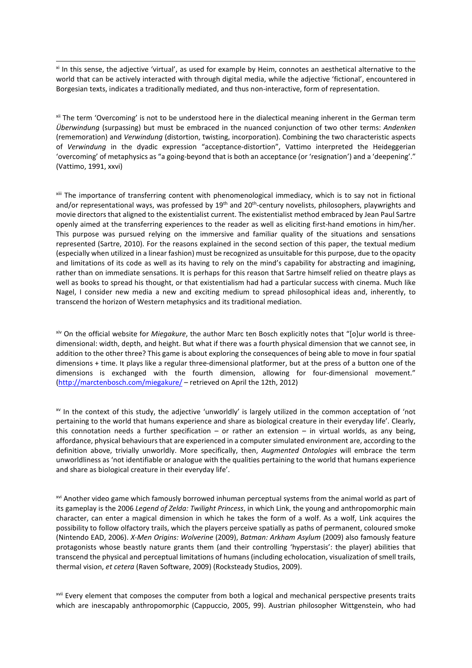xi In this sense, the adjective 'virtual', as used for example by Heim, connotes an aesthetical alternative to the world that can be actively interacted with through digital media, while the adjective 'fictional', encountered in Borgesian texts, indicates a traditionally mediated, and thus non-interactive, form of representation.

1

xii The term 'Overcoming' is not to be understood here in the dialectical meaning inherent in the German term *Überwindung* (surpassing) but must be embraced in the nuanced conjunction of two other terms: *Andenken* (rememoration) and *Verwindung* (distortion, twisting, incorporation). Combining the two characteristic aspects of *Verwindung* in the dyadic expression "acceptance-distortion", Vattimo interpreted the Heideggerian 'overcoming' of metaphysics as "a going-beyond that is both an acceptance (or 'resignation') and a 'deepening'." (Vattimo, 1991, xxvi)

xiii The importance of transferring content with phenomenological immediacy, which is to say not in fictional and/or representational ways, was professed by 19<sup>th</sup> and 20<sup>th</sup>-century novelists, philosophers, playwrights and movie directors that aligned to the existentialist current. The existentialist method embraced by Jean Paul Sartre openly aimed at the transferring experiences to the reader as well as eliciting first-hand emotions in him/her. This purpose was pursued relying on the immersive and familiar quality of the situations and sensations represented (Sartre, 2010). For the reasons explained in the second section of this paper, the textual medium (especially when utilized in a linear fashion) must be recognized as unsuitable for this purpose, due to the opacity and limitations of its code as well as its having to rely on the mind's capability for abstracting and imagining, rather than on immediate sensations. It is perhaps for this reason that Sartre himself relied on theatre plays as well as books to spread his thought, or that existentialism had had a particular success with cinema. Much like Nagel, I consider new media a new and exciting medium to spread philosophical ideas and, inherently, to transcend the horizon of Western metaphysics and its traditional mediation.

xiv On the official website for *Miegakure*, the author Marc ten Bosch explicitly notes that "[o]ur world is threedimensional: width, depth, and height. But what if there was a fourth physical dimension that we cannot see, in addition to the other three? This game is about exploring the consequences of being able to move in four spatial dimensions + time. It plays like a regular three-dimensional platformer, but at the press of a button one of the dimensions is exchanged with the fourth dimension, allowing for four-dimensional movement." [\(http://marctenbosch.com/miegakure/](http://marctenbosch.com/miegakure/) – retrieved on April the 12th, 2012)

xv In the context of this study, the adjective 'unworldly' is largely utilized in the common acceptation of 'not pertaining to the world that humans experience and share as biological creature in their everyday life'. Clearly, this connotation needs a further specification – or rather an extension – in virtual worlds, as any being, affordance, physical behaviours that are experienced in a computer simulated environment are, according to the definition above, trivially unworldly. More specifically, then, *Augmented Ontologies* will embrace the term unworldliness as 'not identifiable or analogue with the qualities pertaining to the world that humans experience and share as biological creature in their everyday life'.

<sup>xvi</sup> Another video game which famously borrowed inhuman perceptual systems from the animal world as part of its gameplay is the 2006 *Legend of Zelda: Twilight Princess*, in which Link, the young and anthropomorphic main character, can enter a magical dimension in which he takes the form of a wolf. As a wolf, Link acquires the possibility to follow olfactory trails, which the players perceive spatially as paths of permanent, coloured smoke (Nintendo EAD, 2006). *X-Men Origins: Wolverine* (2009), *Batman: Arkham Asylum* (2009) also famously feature protagonists whose beastly nature grants them (and their controlling 'hyperstasis': the player) abilities that transcend the physical and perceptual limitations of humans (including echolocation, visualization of smell trails, thermal vision, *et cetera* (Raven Software, 2009) (Rocksteady Studios, 2009).

xvii Every element that composes the computer from both a logical and mechanical perspective presents traits which are inescapably anthropomorphic (Cappuccio, 2005, 99). Austrian philosopher Wittgenstein, who had